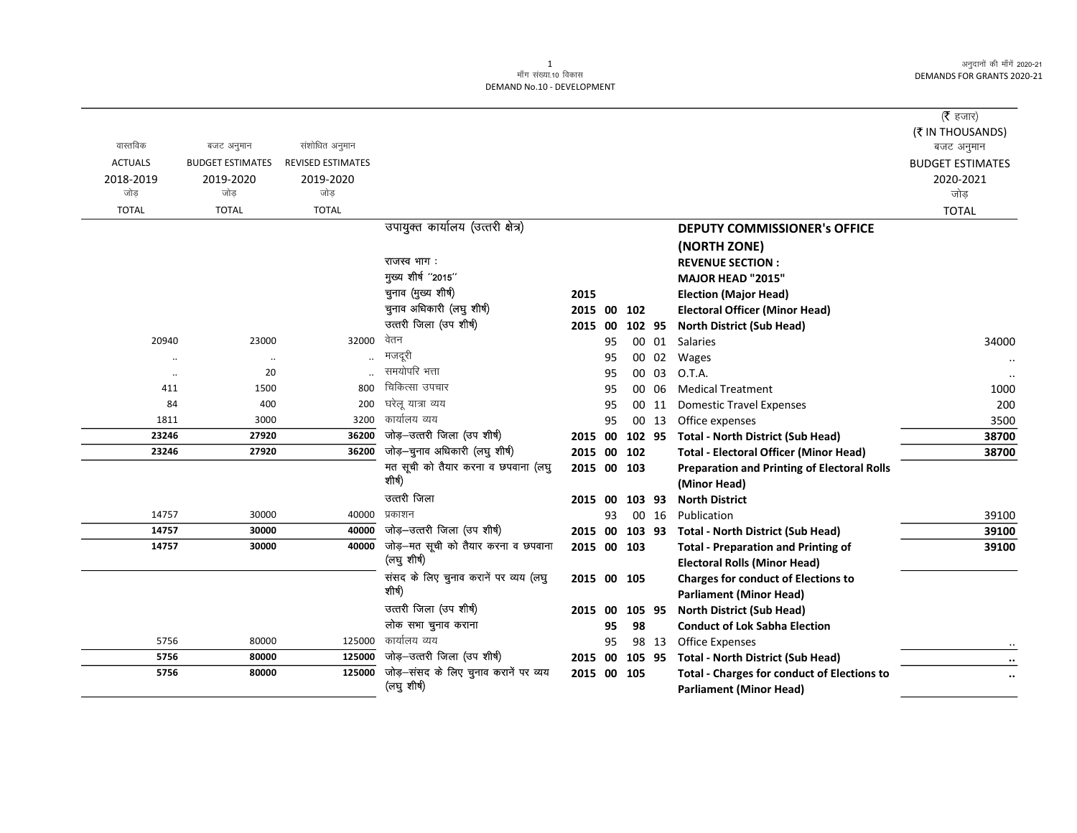|                |                         |                          |                                                 |                |    |        |       |                                                    | ( <b>रै</b> हजार)              |
|----------------|-------------------------|--------------------------|-------------------------------------------------|----------------|----|--------|-------|----------------------------------------------------|--------------------------------|
| वास्तविक       | बजट अनुमान              | संशोधित अनुमान           |                                                 |                |    |        |       |                                                    | (₹ IN THOUSANDS)<br>बजट अनुमान |
| <b>ACTUALS</b> | <b>BUDGET ESTIMATES</b> | <b>REVISED ESTIMATES</b> |                                                 |                |    |        |       |                                                    | <b>BUDGET ESTIMATES</b>        |
| 2018-2019      | 2019-2020               | 2019-2020                |                                                 |                |    |        |       |                                                    | 2020-2021                      |
| जोड            | जोड                     | जोड                      |                                                 |                |    |        |       |                                                    | जोड़                           |
| <b>TOTAL</b>   | <b>TOTAL</b>            | <b>TOTAL</b>             |                                                 |                |    |        |       |                                                    | <b>TOTAL</b>                   |
|                |                         |                          | उपायुक्त कार्यालय (उत्तरी क्षेत्र)              |                |    |        |       | <b>DEPUTY COMMISSIONER's OFFICE</b>                |                                |
|                |                         |                          |                                                 |                |    |        |       | (NORTH ZONE)                                       |                                |
|                |                         |                          | राजस्व भाग :                                    |                |    |        |       | <b>REVENUE SECTION:</b>                            |                                |
|                |                         |                          | मुख्य शीर्ष "2015"                              |                |    |        |       | MAJOR HEAD "2015"                                  |                                |
|                |                         |                          | चुनाव (मुख्य शीर्ष)                             | 2015           |    |        |       | <b>Election (Major Head)</b>                       |                                |
|                |                         |                          | चुनाव अधिकारी (लघु शीर्ष)                       | 2015 00        |    | 102    |       | <b>Electoral Officer (Minor Head)</b>              |                                |
|                |                         |                          | उत्तरी जिला (उप शीर्ष)                          | 2015           | 00 | 102 95 |       | <b>North District (Sub Head)</b>                   |                                |
| 20940          | 23000                   | 32000                    | वेतन                                            |                | 95 |        | 00 01 | <b>Salaries</b>                                    | 34000                          |
| $\ddotsc$      | $\ldots$                |                          | मजदूरी                                          |                | 95 |        | 00 02 | Wages                                              |                                |
| $\ddotsc$      | 20                      |                          | समयोपरि भत्ता                                   |                | 95 |        | 00 03 | O.T.A.                                             |                                |
| 411            | 1500                    | 800                      | चिकित्सा उपचार                                  |                | 95 |        | 00 06 | <b>Medical Treatment</b>                           | 1000                           |
| 84             | 400                     | 200                      | घरेलू यात्रा व्यय                               |                | 95 |        | 00 11 | <b>Domestic Travel Expenses</b>                    | 200                            |
| 1811           | 3000                    | 3200                     | कार्यालय व्यय                                   |                | 95 |        | 00 13 | Office expenses                                    | 3500                           |
| 23246          | 27920                   | 36200                    | जोड़-उत्तरी जिला (उप शीर्ष)                     | 2015 00        |    | 102 95 |       | <b>Total - North District (Sub Head)</b>           | 38700                          |
| 23246          | 27920                   | 36200                    | जोड़-चुनाव अधिकारी (लघु शीर्ष)                  | 2015 00        |    | 102    |       | <b>Total - Electoral Officer (Minor Head)</b>      | 38700                          |
|                |                         |                          | मत सूची को तैयार करना व छपवाना (लघु             | 2015 00 103    |    |        |       | <b>Preparation and Printing of Electoral Rolls</b> |                                |
|                |                         |                          | शीर्ष)                                          |                |    |        |       | (Minor Head)                                       |                                |
|                |                         |                          | उत्तरी जिला                                     | 2015 00 103 93 |    |        |       | <b>North District</b>                              |                                |
| 14757          | 30000                   | 40000                    | प्रकाशन                                         |                | 93 |        | 00 16 | Publication                                        | 39100                          |
| 14757          | 30000                   | 40000                    | जोड़-उत्तरी जिला (उप शीर्ष)                     | 2015 00        |    | 103 93 |       | <b>Total - North District (Sub Head)</b>           | 39100                          |
| 14757          | 30000                   | 40000                    | जोड़-मत सूची को तैयार करना व छपवाना             | 2015 00 103    |    |        |       | <b>Total - Preparation and Printing of</b>         | 39100                          |
|                |                         |                          | (लघु शीर्ष)                                     |                |    |        |       | <b>Electoral Rolls (Minor Head)</b>                |                                |
|                |                         |                          | संसद के लिए चुनाव करानें पर व्यय (लघु<br>शीर्ष) | 2015 00 105    |    |        |       | <b>Charges for conduct of Elections to</b>         |                                |
|                |                         |                          |                                                 |                |    |        |       | <b>Parliament (Minor Head)</b>                     |                                |
|                |                         |                          | उत्तरी जिला (उप शीर्ष)                          | 2015 00        |    | 105 95 |       | <b>North District (Sub Head)</b>                   |                                |
|                |                         |                          | लोक सभा चुनाव कराना<br>कार्यालय व्यय            |                | 95 | 98     |       | <b>Conduct of Lok Sabha Election</b>               |                                |
| 5756           | 80000                   | 125000                   | जोड़-उत्तरी जिला (उप शीर्ष)                     |                | 95 |        | 98 13 | <b>Office Expenses</b>                             |                                |
| 5756           | 80000                   | 125000<br>125000         | जोड़-संसद के लिए चुनाव करानें पर व्यय           | 2015 00        |    | 105 95 |       | <b>Total - North District (Sub Head)</b>           |                                |
| 5756           | 80000                   |                          | (लघु शीर्ष)                                     | 2015 00        |    | 105    |       | <b>Total - Charges for conduct of Elections to</b> | $\ddotsc$                      |
|                |                         |                          |                                                 |                |    |        |       | <b>Parliament (Minor Head)</b>                     |                                |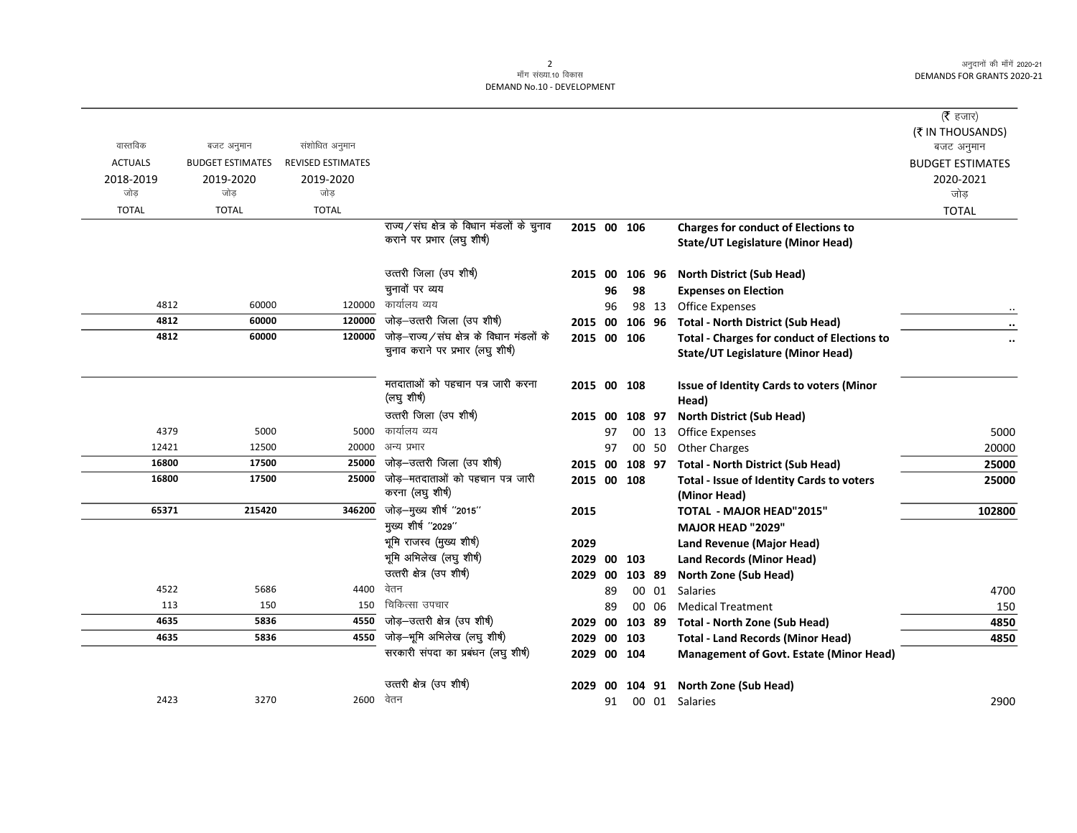## 2<br>माँग संख्या.10 विकास DEMAND No.10 - DEVELOPMENT

|                |                         |                          |                                            |                |    |             |       |                                                    | ( $\bar{\tau}$ हजार)<br>(₹ IN THOUSANDS) |
|----------------|-------------------------|--------------------------|--------------------------------------------|----------------|----|-------------|-------|----------------------------------------------------|------------------------------------------|
| वास्तविक       | बजट अनुमान              | संशोधित अनुमान           |                                            |                |    |             |       |                                                    | बजट अनुमान                               |
| <b>ACTUALS</b> | <b>BUDGET ESTIMATES</b> | <b>REVISED ESTIMATES</b> |                                            |                |    |             |       |                                                    | <b>BUDGET ESTIMATES</b>                  |
| 2018-2019      | 2019-2020               | 2019-2020                |                                            |                |    |             |       |                                                    | 2020-2021                                |
| जोड            | जोड                     | जोड                      |                                            |                |    |             |       |                                                    | जोड़                                     |
| <b>TOTAL</b>   | <b>TOTAL</b>            | <b>TOTAL</b>             |                                            |                |    |             |       |                                                    | <b>TOTAL</b>                             |
|                |                         |                          | राज्य/संघ क्षेत्र के विधान मंडलों के चुनाव | 2015 00 106    |    |             |       | <b>Charges for conduct of Elections to</b>         |                                          |
|                |                         |                          | कराने पर प्रभार (लघु शीर्ष)                |                |    |             |       | State/UT Legislature (Minor Head)                  |                                          |
|                |                         |                          | उत्तरी जिला (उप शीर्ष)                     | 2015 00        |    | 106 96      |       | <b>North District (Sub Head)</b>                   |                                          |
|                |                         |                          | चुनावों पर व्यय                            |                | 96 | 98          |       | <b>Expenses on Election</b>                        |                                          |
| 4812           | 60000                   | 120000                   | कार्यालय व्यय                              |                | 96 |             | 98 13 | <b>Office Expenses</b>                             |                                          |
| 4812           | 60000                   | 120000                   | जोड़-उत्तरी जिला (उप शीर्ष)                | 2015 00        |    | 106 96      |       | <b>Total - North District (Sub Head)</b>           |                                          |
| 4812           | 60000                   | 120000                   | जोड़-राज्य/संघ क्षेत्र के विधान मंडलों के  |                |    | 2015 00 106 |       | <b>Total - Charges for conduct of Elections to</b> |                                          |
|                |                         |                          | चुनाव कराने पर प्रभार (लघु शीर्ष)          |                |    |             |       | <b>State/UT Legislature (Minor Head)</b>           |                                          |
|                |                         |                          | मतदाताओं को पहचान पत्र जारी करना           | 2015 00 108    |    |             |       | Issue of Identity Cards to voters (Minor           |                                          |
|                |                         |                          | (लघु शीर्ष)                                |                |    |             |       | Head)                                              |                                          |
|                |                         |                          | उत्तरी जिला (उप शीर्ष)                     | 2015 00        |    | 108 97      |       | <b>North District (Sub Head)</b>                   |                                          |
| 4379           | 5000                    | 5000                     | कार्यालय व्यय                              |                | 97 |             | 00 13 | <b>Office Expenses</b>                             | 5000                                     |
| 12421          | 12500                   | 20000                    | अन्य प्रभार                                |                | 97 |             | 00 50 | <b>Other Charges</b>                               | 20000                                    |
| 16800          | 17500                   | 25000                    | जोड़-उत्तरी जिला (उप शीर्ष)                | 2015 00 108 97 |    |             |       | <b>Total - North District (Sub Head)</b>           | 25000                                    |
| 16800          | 17500                   | 25000                    | जोड़–मतदाताओं को पहचान पत्र जारी           | 2015 00 108    |    |             |       | Total - Issue of Identity Cards to voters          | 25000                                    |
|                |                         |                          | करना (लघु शीर्ष)                           |                |    |             |       | (Minor Head)                                       |                                          |
| 65371          | 215420                  | 346200                   | जोड़-मुख्य शीर्ष "2015"                    | 2015           |    |             |       | <b>TOTAL - MAJOR HEAD"2015"</b>                    | 102800                                   |
|                |                         |                          | मुख्य शीर्ष "2029"                         |                |    |             |       | <b>MAJOR HEAD "2029"</b>                           |                                          |
|                |                         |                          | भूमि राजस्व (मुख्य शीर्ष)                  | 2029           |    |             |       | Land Revenue (Major Head)                          |                                          |
|                |                         |                          | भूमि अभिलेख (लघु शीर्ष)                    | 2029           |    | 00 103      |       | <b>Land Records (Minor Head)</b>                   |                                          |
|                |                         |                          | उत्तरी क्षेत्र (उप शीर्ष)                  | 2029           | 00 | 103 89      |       | North Zone (Sub Head)                              |                                          |
| 4522           | 5686                    | 4400                     | वेतन                                       |                | 89 |             | 00 01 | <b>Salaries</b>                                    | 4700                                     |
| 113            | 150                     | 150                      | चिकित्सा उपचार                             |                | 89 |             | 00 06 | <b>Medical Treatment</b>                           | 150                                      |
| 4635           | 5836                    | 4550                     | जोड़-उत्तरी क्षेत्र (उप शीर्ष)             | 2029           | 00 | 103 89      |       | <b>Total - North Zone (Sub Head)</b>               | 4850                                     |
| 4635           | 5836                    | 4550                     | जोड़-भूमि अभिलेख (लघु शीर्ष)               | 2029           |    | 00 103      |       | <b>Total - Land Records (Minor Head)</b>           | 4850                                     |
|                |                         |                          | सरकारी संपदा का प्रबंधन (लघु शीर्ष)        | 2029 00 104    |    |             |       | <b>Management of Govt. Estate (Minor Head)</b>     |                                          |
|                |                         |                          | उत्तरी क्षेत्र (उप शीर्ष)                  | 2029           |    |             |       | 00 104 91 North Zone (Sub Head)                    |                                          |
| 2423           | 3270                    | 2600                     | वेतन                                       |                | 91 |             |       | 00 01 Salaries                                     | 2900                                     |
|                |                         |                          |                                            |                |    |             |       |                                                    |                                          |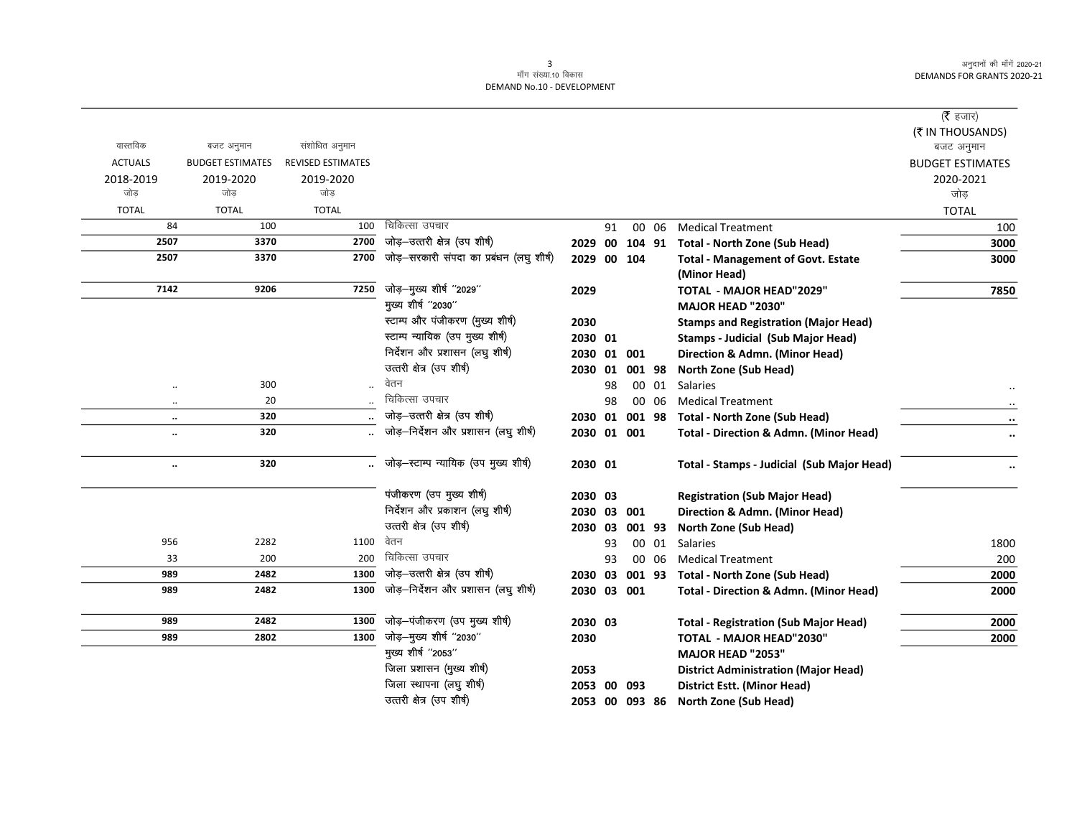## 3<br>माँग संख्या.10 विकास DEMAND No.10 - DEVELOPMENT

|                      |                         |                          |                                          |             |    |        |       |                                                   | ( <b>रै</b> हजार)       |
|----------------------|-------------------------|--------------------------|------------------------------------------|-------------|----|--------|-------|---------------------------------------------------|-------------------------|
|                      |                         |                          |                                          |             |    |        |       |                                                   | (₹ IN THOUSANDS)        |
| वास्तविक             | बजट अनुमान              | संशोधित अनुमान           |                                          |             |    |        |       |                                                   | बजट अनुमान              |
| <b>ACTUALS</b>       | <b>BUDGET ESTIMATES</b> | <b>REVISED ESTIMATES</b> |                                          |             |    |        |       |                                                   | <b>BUDGET ESTIMATES</b> |
| 2018-2019            | 2019-2020               | 2019-2020                |                                          |             |    |        |       |                                                   | 2020-2021               |
| जोड़                 | जोड                     | जोड़                     |                                          |             |    |        |       |                                                   | जोड़                    |
| <b>TOTAL</b>         | <b>TOTAL</b>            | <b>TOTAL</b>             |                                          |             |    |        |       |                                                   | <b>TOTAL</b>            |
| 84                   | 100                     | 100                      | चिकित्सा उपचार                           |             | 91 |        | 00 06 | <b>Medical Treatment</b>                          | 100                     |
| 2507                 | 3370                    | 2700                     | जोड़-उत्तरी क्षेत्र (उप शीर्ष)           |             |    |        |       | 2029 00 104 91 Total - North Zone (Sub Head)      | 3000                    |
| 2507                 | 3370                    | 2700                     | जोड़—सरकारी संपदा का प्रबंधन (लघु शीर्ष) | 2029 00 104 |    |        |       | <b>Total - Management of Govt. Estate</b>         | 3000                    |
|                      |                         |                          |                                          |             |    |        |       | (Minor Head)                                      |                         |
| 7142                 | 9206                    | 7250                     | जोड़-मुख्य शीर्ष "2029"                  | 2029        |    |        |       | <b>TOTAL - MAJOR HEAD"2029"</b>                   | 7850                    |
|                      |                         |                          | मुख्य शीर्ष "2030"                       |             |    |        |       | MAJOR HEAD "2030"                                 |                         |
|                      |                         |                          | स्टाम्प और पंजीकरण (मुख्य शीर्ष)         | 2030        |    |        |       | <b>Stamps and Registration (Major Head)</b>       |                         |
|                      |                         |                          | स्टाम्प न्यायिक (उप मुख्य शीर्ष)         | 2030 01     |    |        |       | <b>Stamps - Judicial (Sub Major Head)</b>         |                         |
|                      |                         |                          | निर्देशन और प्रशासन (लघु शीर्ष)          | 2030 01 001 |    |        |       | Direction & Admn. (Minor Head)                    |                         |
|                      |                         |                          | उत्तरी क्षेत्र (उप शीर्ष)                | 2030 01     |    | 001 98 |       | <b>North Zone (Sub Head)</b>                      |                         |
| $\ddotsc$            | 300                     |                          | वेतन                                     |             | 98 |        | 00 01 | <b>Salaries</b>                                   |                         |
| $\ddotsc$            | 20                      |                          | चिकित्सा उपचार                           |             | 98 |        | 00 06 | <b>Medical Treatment</b>                          |                         |
| $\ldots$             | 320                     |                          | जोड़-उत्तरी क्षेत्र (उप शीर्ष)           | 2030 01     |    |        |       | 001 98 Total - North Zone (Sub Head)              |                         |
| $\ddot{\phantom{a}}$ | 320                     |                          | जोड़–निर्देशन और प्रशासन (लघु शीर्ष)     | 2030 01 001 |    |        |       | <b>Total - Direction &amp; Admn. (Minor Head)</b> |                         |
|                      |                         |                          |                                          |             |    |        |       |                                                   |                         |
| $\ddot{\phantom{0}}$ | 320                     |                          | … जोड़—स्टाम्प न्यायिक (उप मुख्य शीर्ष)  | 2030 01     |    |        |       | Total - Stamps - Judicial (Sub Major Head)        |                         |
|                      |                         |                          |                                          |             |    |        |       |                                                   |                         |
|                      |                         |                          | पंजीकरण (उप मुख्य शीर्ष)                 | 2030 03     |    |        |       | <b>Registration (Sub Major Head)</b>              |                         |
|                      |                         |                          | निर्देशन और प्रकाशन (लघु शीर्ष)          | 2030 03 001 |    |        |       | Direction & Admn. (Minor Head)                    |                         |
|                      |                         |                          | उत्तरी क्षेत्र (उप शीर्ष)                | 2030 03     |    | 001 93 |       | North Zone (Sub Head)                             |                         |
| 956                  | 2282                    | 1100                     | वेतन                                     |             | 93 |        | 00 01 | <b>Salaries</b>                                   | 1800                    |
| 33                   | 200                     | 200                      | चिकित्सा उपचार                           |             | 93 |        | 00 06 | <b>Medical Treatment</b>                          | 200                     |
| 989                  | 2482                    | 1300                     | जोड़-उत्तरी क्षेत्र (उप शीर्ष)           | 2030 03     |    |        |       | 001 93 Total - North Zone (Sub Head)              | 2000                    |
| 989                  | 2482                    | 1300                     | जोड़-निर्देशन और प्रशासन (लघु शीर्ष)     | 2030 03 001 |    |        |       | <b>Total - Direction &amp; Admn. (Minor Head)</b> | 2000                    |
|                      |                         |                          |                                          |             |    |        |       |                                                   |                         |
| 989                  | 2482                    | 1300                     | जोड़-पंजीकरण (उप मुख्य शीर्ष)            | 2030 03     |    |        |       | <b>Total - Registration (Sub Major Head)</b>      | 2000                    |
| 989                  | 2802                    | 1300                     | जोड़-मुख्य शीर्ष "2030"                  | 2030        |    |        |       | TOTAL - MAJOR HEAD"2030"                          | 2000                    |
|                      |                         |                          | मुख्य शीर्ष "2053"                       |             |    |        |       | <b>MAJOR HEAD "2053"</b>                          |                         |
|                      |                         |                          | जिला प्रशासन (मुख्य शीर्ष)               | 2053        |    |        |       | <b>District Administration (Major Head)</b>       |                         |
|                      |                         |                          | जिला स्थापना (लघु शीर्ष)                 | 2053 00 093 |    |        |       | <b>District Estt. (Minor Head)</b>                |                         |
|                      |                         |                          | उत्तरी क्षेत्र (उप शीर्ष)                | 2053 00     |    | 093 86 |       | <b>North Zone (Sub Head)</b>                      |                         |

2053 00 093 86 North Zone (Sub Head)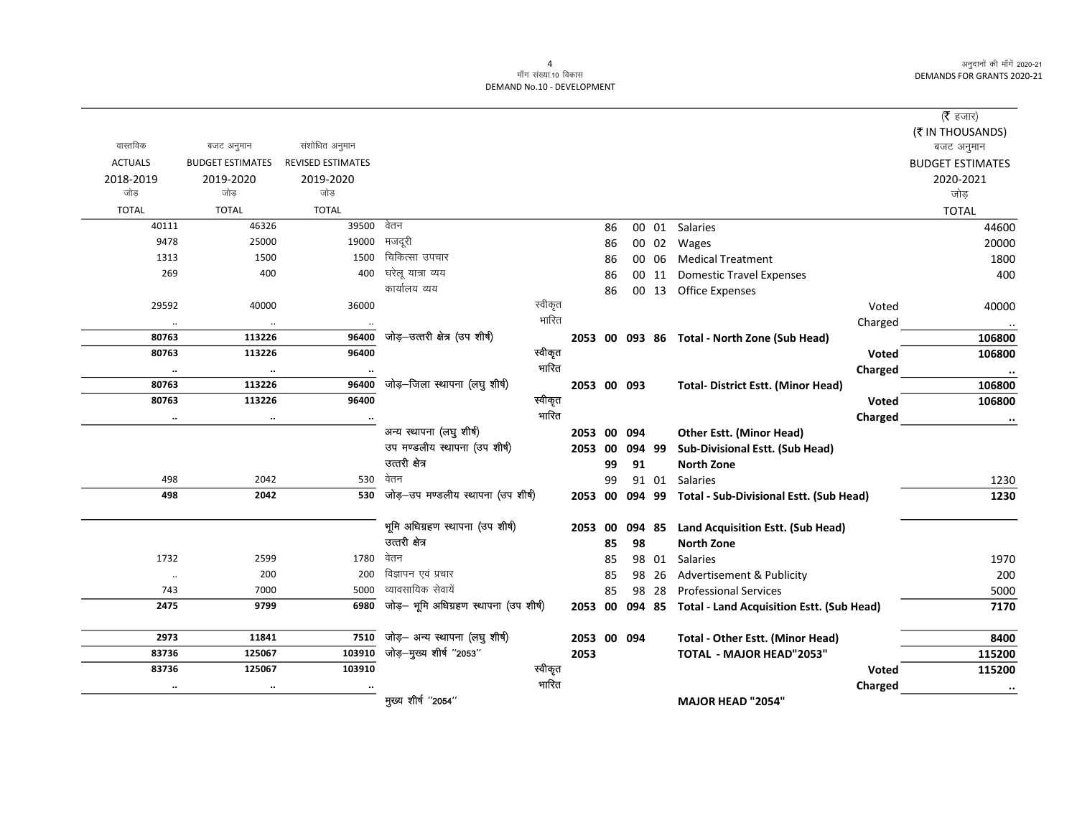$\overline{\phantom{0}}$ 

## 4<br>माँग संख्या.10 विकास DEMAND No.10 - DEVELOPMENT

|                |                         |                          |                                        |         |             |    |        |       |                                                          |         | ( $\bar{\tau}$ हजार)    |
|----------------|-------------------------|--------------------------|----------------------------------------|---------|-------------|----|--------|-------|----------------------------------------------------------|---------|-------------------------|
|                |                         |                          |                                        |         |             |    |        |       |                                                          |         | (₹ IN THOUSANDS)        |
| वास्तविक       | बजट अनुमान              | संशोधित अनुमान           |                                        |         |             |    |        |       |                                                          |         | बजट अनुमान              |
| <b>ACTUALS</b> | <b>BUDGET ESTIMATES</b> | <b>REVISED ESTIMATES</b> |                                        |         |             |    |        |       |                                                          |         | <b>BUDGET ESTIMATES</b> |
| 2018-2019      | 2019-2020               | 2019-2020                |                                        |         |             |    |        |       |                                                          |         | 2020-2021               |
| जोड            | जोड                     | जोड                      |                                        |         |             |    |        |       |                                                          |         | जोड़                    |
| <b>TOTAL</b>   | <b>TOTAL</b>            | <b>TOTAL</b>             |                                        |         |             |    |        |       |                                                          |         | <b>TOTAL</b>            |
| 40111          | 46326                   | 39500                    | वेतन                                   |         |             | 86 |        |       | 00 01 Salaries                                           |         | 44600                   |
| 9478           | 25000                   | 19000                    | मजदूरी                                 |         |             | 86 |        |       | 00 02 Wages                                              |         | 20000                   |
| 1313           | 1500                    | 1500                     | चिकित्सा उपचार                         |         |             | 86 |        | 00 06 | <b>Medical Treatment</b>                                 |         | 1800                    |
| 269            | 400                     | 400                      | घरेलू यात्रा व्यय                      |         |             | 86 |        |       | 00 11 Domestic Travel Expenses                           |         | 400                     |
|                |                         |                          | कार्यालय व्यय                          |         |             | 86 |        |       | 00 13 Office Expenses                                    |         |                         |
| 29592          | 40000                   | 36000                    |                                        | स्वीकृत |             |    |        |       |                                                          | Voted   | 40000                   |
| $\ldots$       | $\ldots$                |                          |                                        | भारित   |             |    |        |       |                                                          | Charged |                         |
| 80763          | 113226                  | 96400                    | जोड़-उत्तरी क्षेत्र (उप शीर्ष)         |         |             |    |        |       | 2053 00 093 86 Total - North Zone (Sub Head)             |         | 106800                  |
| 80763          | 113226                  | 96400                    |                                        | स्वीकृत |             |    |        |       |                                                          | Voted   | 106800                  |
| $\ddotsc$      | $\ddotsc$               |                          |                                        | भारित   |             |    |        |       |                                                          | Charged | $\ddotsc$               |
| 80763          | 113226                  | 96400                    | जोड़-जिला स्थापना (लघु शीर्ष)          |         | 2053 00 093 |    |        |       | <b>Total- District Estt. (Minor Head)</b>                |         | 106800                  |
| 80763          | 113226                  | 96400                    |                                        | स्वीकृत |             |    |        |       |                                                          | Voted   | 106800                  |
| $\ldots$       | $\ddotsc$               |                          |                                        | भारित   |             |    |        |       |                                                          | Charged | $\ddotsc$               |
|                |                         |                          | अन्य स्थापना (लघु शीर्ष)               |         | 2053 00 094 |    |        |       | <b>Other Estt. (Minor Head)</b>                          |         |                         |
|                |                         |                          | उप मण्डलीय स्थापना (उप शीर्ष)          |         | 2053        | 00 | 094 99 |       | Sub-Divisional Estt. (Sub Head)                          |         |                         |
|                |                         |                          | उत्तरी क्षेत्र                         |         |             | 99 | 91     |       | <b>North Zone</b>                                        |         |                         |
| 498            | 2042                    | 530                      | वेतन                                   |         |             | 99 |        |       | 91 01 Salaries                                           |         | 1230                    |
| 498            | 2042                    | 530                      | जोड़-उप मण्डलीय स्थापना (उप शीर्ष)     |         |             |    |        |       | 2053 00 094 99 Total - Sub-Divisional Estt. (Sub Head)   |         | 1230                    |
|                |                         |                          | भूमि अधिग्रहण स्थापना (उप शीर्ष)       |         | 2053        | 00 |        |       | 094 85 Land Acquisition Estt. (Sub Head)                 |         |                         |
|                |                         |                          | उत्तरी क्षेत्र                         |         |             | 85 | 98     |       | <b>North Zone</b>                                        |         |                         |
| 1732           | 2599                    | 1780                     | वेतन                                   |         |             | 85 |        |       | 98 01 Salaries                                           |         | 1970                    |
| $\cdot\cdot$   | 200                     | 200                      | विज्ञापन एवं प्रचार                    |         |             | 85 |        | 98 26 | Advertisement & Publicity                                |         | 200                     |
| 743            | 7000                    | 5000                     | व्यावसायिक सेवायें                     |         |             | 85 |        | 98 28 | <b>Professional Services</b>                             |         | 5000                    |
| 2475           | 9799                    | 6980                     | जोड़- भूमि अधिग्रहण स्थापना (उप शीर्ष) |         |             |    |        |       | 2053 00 094 85 Total - Land Acquisition Estt. (Sub Head) |         | 7170                    |
| 2973           | 11841                   | 7510                     | जोड़— अन्य स्थापना (लघु शीर्ष)         |         | 2053 00 094 |    |        |       | Total - Other Estt. (Minor Head)                         |         | 8400                    |
| 83736          | 125067                  | 103910                   | जोड़-मुख्य शीर्ष "2053"                |         | 2053        |    |        |       | <b>TOTAL - MAJOR HEAD"2053"</b>                          |         | 115200                  |
| 83736          | 125067                  | 103910                   |                                        | स्वीकृत |             |    |        |       |                                                          | Voted   | 115200                  |
| $\ddotsc$      |                         |                          |                                        | भारित   |             |    |        |       |                                                          | Charged | $\ddotsc$               |
|                |                         |                          | मुख्य शीर्ष "2054"                     |         |             |    |        |       | <b>MAJOR HEAD "2054"</b>                                 |         |                         |
|                |                         |                          |                                        |         |             |    |        |       |                                                          |         |                         |